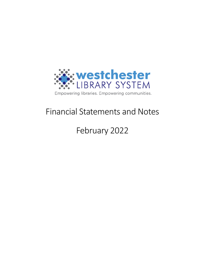

# Financial Statements and Notes

# February 2022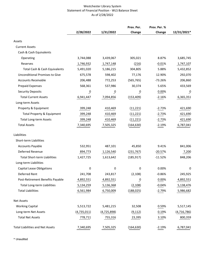#### Westchester Library System Statement of Financial Position - WLS Balance Sheet As of 2/28/2022

|                                         |                          |                | Prev. Per.     | Prev. Per. % |                |
|-----------------------------------------|--------------------------|----------------|----------------|--------------|----------------|
|                                         | 2/28/2022                | 1/31/2022      | Change         | Change       | 12/31/2021*    |
| Assets                                  |                          |                |                |              |                |
| <b>Current Assets</b>                   |                          |                |                |              |                |
| Cash & Cash Equivalents                 |                          |                |                |              |                |
| Operating                               | 3,744,088                | 3,439,067      | 305,021        | 8.87%        | 3,685,745      |
| Reserves                                | 1,746,932                | 1,747,148      | (216)          | $-0.01%$     | 1,747,107      |
| Total Cash & Cash Equivalents           | 5,491,020                | 5,186,215      | 304,805        | 5.88%        | 5,432,852      |
| <b>Unconditional Promises to Give</b>   | 675,578                  | 598,402        | 77,176         | 12.90%       | 292,070        |
| <b>Accounts Receivable</b>              | 206,488                  | 772,253        | (565, 765)     | -73.26%      | 206,860        |
| <b>Prepaid Expenses</b>                 | 568,361                  | 537,986        | 30,374         | 5.65%        | 433,569        |
| <b>Security Deposits</b>                | $\overline{\phantom{a}}$ | $\overline{0}$ | $\overline{0}$ | 0.00%        | $\overline{0}$ |
| <b>Total Current Assets</b>             | 6,941,447                | 7,094,856      | (153, 409)     | $-2.16%$     | 6,365,351      |
| Long-term Assets                        |                          |                |                |              |                |
| Property & Equipment                    | 399,248                  | 410,469        | (11, 221)      | $-2.73%$     | 421,690        |
| Total Property & Equipment              | 399,248                  | 410,469        | (11, 221)      | $-2.73%$     | 421,690        |
| <b>Total Long-term Assets</b>           | 399,248                  | 410,469        | (11, 221)      | $-2.73%$     | 421,690        |
| <b>Total Assets</b>                     | 7,340,695                | 7,505,325      | (164, 630)     | $-2.19%$     | 6,787,041      |
| Liabilities                             |                          |                |                |              |                |
| Short-term Liabilities                  |                          |                |                |              |                |
| <b>Accounts Payable</b>                 | 532,951                  | 487,101        | 45,850         | 9.41%        | 841,006        |
| Deferred Revenue                        | 894,773                  | 1,126,540      | (231, 767)     | $-20.57%$    | 7,200          |
| <b>Total Short-term Liabilities</b>     | 1,427,725                | 1,613,642      | (185, 917)     | $-11.52%$    | 848,206        |
| Long-term Liabilities                   |                          |                |                |              |                |
| <b>Capital Lease Obligations</b>        | 0                        | 0              | 0              | 0.00%        | 0              |
| Deferred Rent                           | 241,708                  | 243,817        | (2, 108)       | $-0.86%$     | 245,925        |
| Post-Retirement Benefits Payable        | 4,892,551                | 4,892,551      | $\overline{0}$ | 0.00%        | 4,892,551      |
| Total Long-term Liabilities             | 5,134,259                | 5,136,368      | (2, 108)       | $-0.04%$     | 5,138,476      |
| <b>Total Liabilities</b>                | 6,561,984                | 6,750,009      | (188, 025)     | $-2.79%$     | 5,986,682      |
| <b>Net Assets</b>                       |                          |                |                |              |                |
| <b>Working Capital</b>                  | 5,513,722                | 5,481,215      | 32,508         | 0.59%        | 5,517,145      |
| Long-term Net Assets                    | (4,735,011)              | (4, 725, 898)  | (9, 112)       | 0.19%        | (4, 716, 786)  |
| <b>Total Net Assets</b>                 | 778,711                  | 755,316        | 23,395         | 3.10%        | 800,359        |
| <b>Total Liabilities and Net Assets</b> | 7,340,695                | 7,505,325      | (164, 630)     | $-2.19%$     | 6,787,041      |

\* Unaudited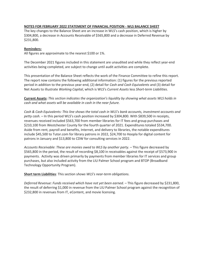#### **NOTES FOR FEBRUARY 2022 STATEMENT OF FINANCIAL POSITION - WLS BALANCE SHEET**

The key changes to the Balance Sheet are an increase in WLS's cash position, which is higher by \$304,800, a decrease in Accounts Receivable of \$565,800 and a decrease in Deferred Revenue by \$231,800.

### **Reminders:**

All figures are approximate to the nearest \$100 or 1%.

The December 2021 figures included in this statement are unaudited and while they reflect year-end activities being completed, are subject to change until audit activities are complete.

This presentation of the Balance Sheet reflects the work of the Finance Committee to refine this report. The report now contains the following additional information: (1) figures for the previous reported period in addition to the previous year-end, (2) detail for *Cash and Cash Equivalents* and (3) detail for Net Assets to illustrate *Working Capital*, which is WLS's *Current Assets* less *Short-term Liabilities*.

**Current Assets:** *This section indicates the organization's liquidity by showing what assets WLS holds in cash and what assets will be available in cash in the near future.*

*Cash & Cash Equivalents: This line shows the total cash in WLS's bank accounts, investment accounts and petty cash.* – In this period WLS's cash position increased by \$304,800. With \$839,500 in receipts, revenues received included \$563,700 from member libraries for IT fees and group purchases and \$210,100 from Westchester County for the fourth quarter of 2021. Expenditures totaled \$534,700. Aside from rent, payroll and benefits, Internet, and delivery to libraries, the notable expenditures include \$45,500 to Tutor.com for library patrons in 2022, \$24,700 to Hoopla for digital content for patrons in January and \$13,800 to CDW for consulting services in 2022.

*Accounts Receivable*: *These are monies owed to WLS by another party.* – This figure decreased by \$565,800 in the period, the result of recording \$8,100 in receivables against the receipt of \$573,900 in payments. Activity was driven primarily by payments from member libraries for IT services and group purchases, but also included activity from the LIU Palmer School program and BTOP (Broadband Technology Opportunity Program).

**Short term Liabilities**: This section s*hows WLS's near-term obligations.*

*Deferred Revenue: Funds received which have not yet been earned.* – This figure decreased by \$231,800, the result of deferring \$1,000 in revenue from the LIU Palmer School program against the recognition of \$232,800 in revenues from IT, eContent, and movie licensing.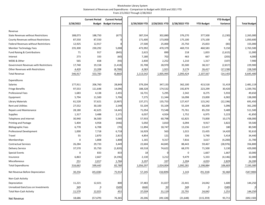#### Westchester Library System Statement of Revenues and Expenditures - Comparison to Budget with 2020 and 2021 YTD From 2/1/2022 Through 2/28/2022

|                                            |             | <b>Current Period</b> | <b>Current Period</b>         |               |                 |               |                   | <b>YTD Budget</b> |                     |
|--------------------------------------------|-------------|-----------------------|-------------------------------|---------------|-----------------|---------------|-------------------|-------------------|---------------------|
|                                            | 2/28/2022   |                       | <b>Budget Budget Variance</b> | 2/29/2020 YTD | 2/28/2021 YTD   | 2/28/2022 YTD | <b>YTD Budget</b> | Variance          | <b>Total Budget</b> |
|                                            |             |                       |                               |               |                 |               |                   |                   |                     |
| Revenue                                    |             |                       |                               |               |                 |               |                   |                   |                     |
| <b>State Revenues without Restrictions</b> | 188,073     | 188,750               | (677)                         | 387,534       | 302,880         | 376,270       | 377,500           | (1, 230)          | 2,265,000           |
| County Revenues without Restrictions       | 87,550      | 87,550                | n                             | 171,600       | 173,000         | 175,100       | 175,100           | O                 | 1,050,600           |
| Federal Revenues without Restrictions      | 12,925      | 12,917                |                               | 27,500        | 25,000          | 25,750        | 25,833            | (83)              | 155,000             |
| Member Technology Fees                     | 235,300     | 230,292               | 5,008                         | 473,992       | 470,379         | 469,733       | 460,583           | 9,150             | 2,763,500           |
| Fund Raising & Contributions               | 71          | 917                   | (845)                         | 2,615         | 890             | 218           | 1,833             | (1,615)           | 11,000              |
| Interest                                   | 273         | 333                   | (60)                          | 7,180         | 702             | 463           | 667               | (203)             | 4,000               |
| <b>WEBS &amp; Other</b>                    | 565         | 658                   | (93)                          | 2,830         | 2,252           | 1,210         | 1,317             | (107)             | 7,900               |
| Government Revenues with Restrictions      | 17,740      | 19,158                | (1, 418)                      | 35,708        | 28,970          | 35,500        | 38,317            | (2, 817)          | 229,900             |
| <b>Other Revenues with Restrictions</b>    | 4,420       | 13,208                | (8, 788)                      | 4,583         | 1,921           | 9,179         | 26,417            | (17, 238)         | 158,500             |
| <b>Total Revenue</b>                       | 546,917     | 553,783               | (6,866)                       | 1,113,542     | 1,005,995       | 1,093,424     | 1,107,567         | (14, 143)         | 6,645,400           |
| Expenditures                               |             |                       |                               |               |                 |               |                   |                   |                     |
| Salaries                                   | 177,911     | 206,760               | 28,849                        | 379,204       | 347,133         | 362,100       | 413,518           | 51,419            | 2,481,119           |
| <b>Fringe Benefits</b>                     | 97,553      | 111,648               | 14,096                        | 188,328       | 174,532         | 192,879       | 223,299           | 30,420            | 1,339,781           |
| <b>Professional Fees</b>                   | 1,683       | 4,138                 | 2,455                         | 16,731        | 5,295           | 2,342         | 8,275             | 5,933             | 49,650              |
| Equipment                                  | 5,794       | 11,500                | 5,706                         | 7,275         | 11,344          | 16,098        | 23,000            | 6,902             | 138,000             |
| Library Materials                          | 61,528      | 57,621                | (3,907)                       | 137,271       | 135,753         | 127,437       | 115,242           | (12, 196)         | 691,450             |
| Rent and Utilities                         | 27,552      | 30,100                | 2,548                         | 55,104        | 55,104          | 55,104        | 60,200            | 5,096             | 361,200             |
| <b>Repairs and Maintenance</b>             | 28,180      | 42,625                | 14,445                        | 71,054        | 73,548          | 75,761        | 85,250            | 9,489             | 511,500             |
| <b>Supplies</b>                            | 1,317       | 3,488                 | 2,171                         | 6,037         | 4,924           | 1,752         | 6,975             | 5,223             | 41,850              |
| Telephone and Internet                     | 30,940      | 36,500                | 5,560                         | 57,933        | 60,798          | 62,825        | 73,000            | 10,175            | 438,000             |
| <b>Printing and Postage</b>                | 5,404       | 4,958                 | (446)                         | 5,050         | 3,810           | 6,094         | 9,917             | 3,822             | 59,500              |
| <b>Bibliographic Fees</b>                  | 6,778       | 6,708                 | (70)                          | 11,894        | 18,747          | 13,236        | 13,417            | 180               | 80,500              |
| <b>Professional Development</b>            | 1,000       | 7,718                 | 6,718                         | 16,929        | 563             | 1,015         | 15,435            | 14,420            | 92,610              |
| Travel                                     | 55          | 2,870                 | 2,815                         | 4,854         | 121             | 326           | 5,740             | 5,414             | 34,440              |
| Memberships                                | $\mathbf 0$ | 1,808                 | 1,808                         | 1,165         | 9,317           | 7,816         | 3,617             | (4, 200)          | 21,700              |
| <b>Contractual Services</b>                | 26,284      | 29,733                | 3,449                         | 22,604        | 44,845          | 88,443        | 59,467            | (28, 976)         | 356,800             |
| <b>Delivery Service</b>                    | 37,570      | 35,750                | (1,820)                       | 69,518        | 74,622          | 68,370        | 71,500            | 3,130             | 429,000             |
| <b>Special Events</b>                      | 0           | 833                   | 833                           | 18            | O               | 0             | 1,667             | 1,667             | 10,000              |
| Insurance                                  | 6,863       | 2,667                 | (4, 196)                      | 2,130         | 3,212           | 9,479         | 5,333             | (4, 146)          | 32,000              |
| Miscellaneous                              | 251         | 2,017                 | 1,766                         | 3,197         | $\frac{337}{2}$ | 1,204         | 4,033             | 2,829             | 24,200              |
| <b>Total Expenditures</b>                  | 516,662     | 599,442               | 82,780                        | 1,056,297     | 1,024,004       | 1,092,281     | 1,198,884         | 106,603           | 7,193,300           |
| Net Revenue Before Depreciation            | 30,256      | (45, 658)             | 75,914                        | 57,245        | (18,009)        | 1,143         | (91, 318)         | 92,460            | (547, 900)          |
| Non-Cash Activity                          |             |                       |                               |               |                 |               |                   |                   |                     |
| Depreciation                               | 11,221      | 12,021                | 800                           | 37,483        | 31,027          | 22,441        | 24,042            | 1,600             | 144,250             |
| Unrealized Gain/Loss on Investments        | 349         | $\overline{0}$        | (349)                         | (444)         | $\frac{92}{1}$  | 349           | $\overline{0}$    | (349)             |                     |
| <b>Total Non-Cash Activity</b>             | 11,570      | 12,021                | $\frac{451}{1}$               | 37,039        | 31,119          | 22,791        | 24,042            | 1,251             | 144,250             |
| Net Revenue                                | 18,686      | (57, 679)             | 76,365                        | 20,206        | (49, 128)       | (21, 648)     | (115, 359)        | 93,711            | (692, 150)          |